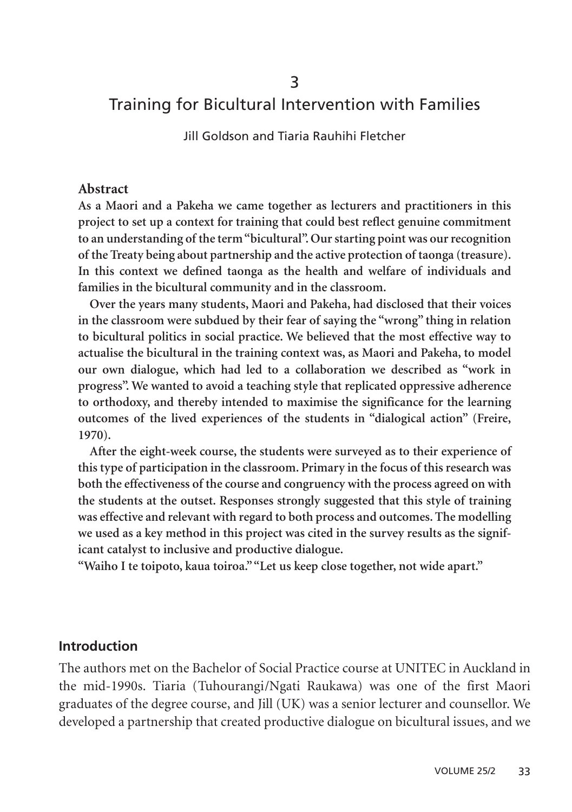# Training for Bicultural Intervention with Families

Jill Goldson and Tiaria Rauhihi Fletcher

#### **Abstract**

**As a Maori and a Pakeha we came together as lecturers and practitioners in this project to set up a context for training that could best reflect genuine commitment to an understanding of the term "bicultural". Our starting point was our recognition of the Treaty being about partnership and the active protection of taonga (treasure). In this context we defined taonga as the health and welfare of individuals and families in the bicultural community and in the classroom.**

**Over the years many students, Maori and Pakeha, had disclosed that their voices in the classroom were subdued by their fear of saying the "wrong" thing in relation to bicultural politics in social practice. We believed that the most effective way to actualise the bicultural in the training context was, as Maori and Pakeha, to model our own dialogue, which had led to a collaboration we described as "work in progress". We wanted to avoid a teaching style that replicated oppressive adherence to orthodoxy, and thereby intended to maximise the significance for the learning outcomes of the lived experiences of the students in "dialogical action" (Freire, 1970).**

**After the eight-week course, the students were surveyed as to their experience of this type of participation in the classroom. Primary in the focus of this research was both the effectiveness of the course and congruency with the process agreed on with the students at the outset. Responses strongly suggested that this style of training was effective and relevant with regard to both process and outcomes. The modelling we used as a key method in this project was cited in the survey results as the significant catalyst to inclusive and productive dialogue.**

**"Waiho I te toipoto, kaua toiroa.""Let us keep close together, not wide apart."**

#### **Introduction**

The authors met on the Bachelor of Social Practice course at UNITEC in Auckland in the mid-1990s. Tiaria (Tuhourangi/Ngati Raukawa) was one of the first Maori graduates of the degree course, and Jill (UK) was a senior lecturer and counsellor. We developed a partnership that created productive dialogue on bicultural issues, and we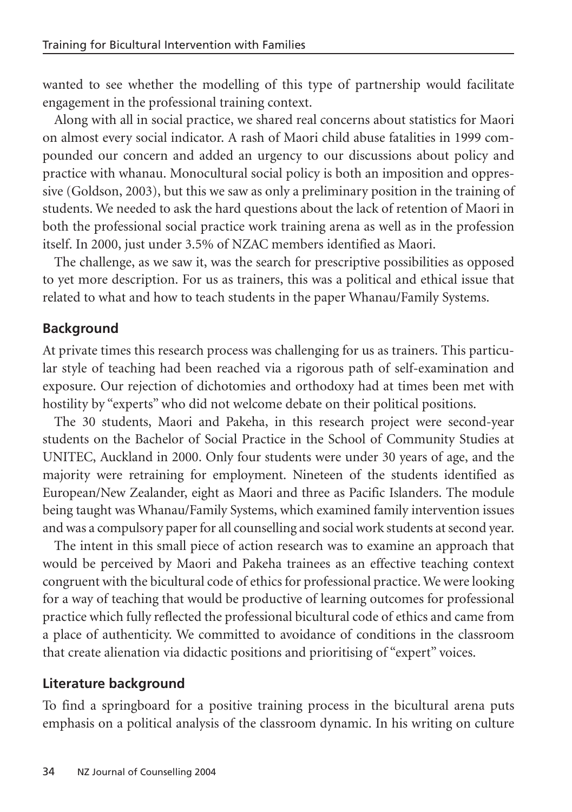wanted to see whether the modelling of this type of partnership would facilitate engagement in the professional training context.

Along with all in social practice, we shared real concerns about statistics for Maori on almost every social indicator. A rash of Maori child abuse fatalities in 1999 compounded our concern and added an urgency to our discussions about policy and practice with whanau. Monocultural social policy is both an imposition and oppressive (Goldson, 2003), but this we saw as only a preliminary position in the training of students. We needed to ask the hard questions about the lack of retention of Maori in both the professional social practice work training arena as well as in the profession itself. In 2000, just under 3.5% of NZAC members identified as Maori.

The challenge, as we saw it, was the search for prescriptive possibilities as opposed to yet more description. For us as trainers, this was a political and ethical issue that related to what and how to teach students in the paper Whanau/Family Systems.

### **Background**

At private times this research process was challenging for us as trainers. This particular style of teaching had been reached via a rigorous path of self-examination and exposure. Our rejection of dichotomies and orthodoxy had at times been met with hostility by "experts" who did not welcome debate on their political positions.

The 30 students, Maori and Pakeha, in this research project were second-year students on the Bachelor of Social Practice in the School of Community Studies at UNITEC, Auckland in 2000. Only four students were under 30 years of age, and the majority were retraining for employment. Nineteen of the students identified as European/New Zealander, eight as Maori and three as Pacific Islanders. The module being taught was Whanau/Family Systems, which examined family intervention issues and was a compulsory paper for all counselling and social work students at second year.

The intent in this small piece of action research was to examine an approach that would be perceived by Maori and Pakeha trainees as an effective teaching context congruent with the bicultural code of ethics for professional practice. We were looking for a way of teaching that would be productive of learning outcomes for professional practice which fully reflected the professional bicultural code of ethics and came from a place of authenticity. We committed to avoidance of conditions in the classroom that create alienation via didactic positions and prioritising of "expert" voices.

#### **Literature background**

To find a springboard for a positive training process in the bicultural arena puts emphasis on a political analysis of the classroom dynamic. In his writing on culture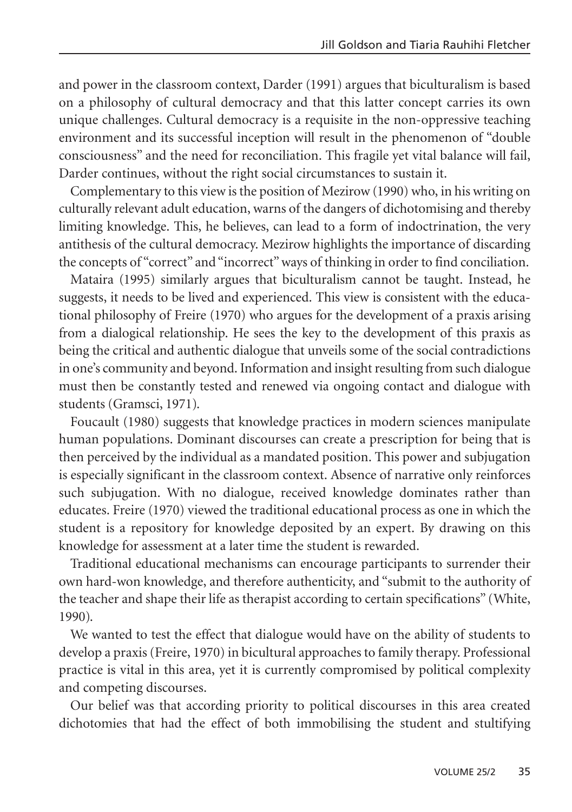and power in the classroom context, Darder (1991) argues that biculturalism is based on a philosophy of cultural democracy and that this latter concept carries its own unique challenges. Cultural democracy is a requisite in the non-oppressive teaching environment and its successful inception will result in the phenomenon of "double consciousness" and the need for reconciliation. This fragile yet vital balance will fail, Darder continues, without the right social circumstances to sustain it.

Complementary to this view is the position of Mezirow (1990) who, in his writing on culturally relevant adult education, warns of the dangers of dichotomising and thereby limiting knowledge. This, he believes, can lead to a form of indoctrination, the very antithesis of the cultural democracy. Mezirow highlights the importance of discarding the concepts of "correct" and "incorrect" ways of thinking in order to find conciliation.

Mataira (1995) similarly argues that biculturalism cannot be taught. Instead, he suggests, it needs to be lived and experienced. This view is consistent with the educational philosophy of Freire (1970) who argues for the development of a praxis arising from a dialogical relationship. He sees the key to the development of this praxis as being the critical and authentic dialogue that unveils some of the social contradictions in one's community and beyond. Information and insight resulting from such dialogue must then be constantly tested and renewed via ongoing contact and dialogue with students (Gramsci, 1971).

Foucault (1980) suggests that knowledge practices in modern sciences manipulate human populations. Dominant discourses can create a prescription for being that is then perceived by the individual as a mandated position. This power and subjugation is especially significant in the classroom context. Absence of narrative only reinforces such subjugation. With no dialogue, received knowledge dominates rather than educates. Freire (1970) viewed the traditional educational process as one in which the student is a repository for knowledge deposited by an expert. By drawing on this knowledge for assessment at a later time the student is rewarded.

Traditional educational mechanisms can encourage participants to surrender their own hard-won knowledge, and therefore authenticity, and "submit to the authority of the teacher and shape their life as therapist according to certain specifications" (White, 1990).

We wanted to test the effect that dialogue would have on the ability of students to develop a praxis (Freire, 1970) in bicultural approaches to family therapy. Professional practice is vital in this area, yet it is currently compromised by political complexity and competing discourses.

Our belief was that according priority to political discourses in this area created dichotomies that had the effect of both immobilising the student and stultifying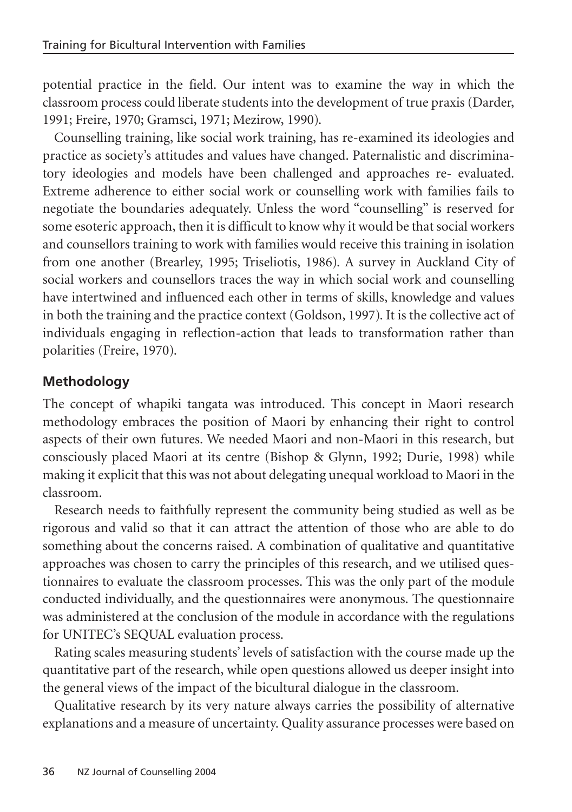potential practice in the field. Our intent was to examine the way in which the classroom process could liberate students into the development of true praxis (Darder, 1991; Freire, 1970; Gramsci, 1971; Mezirow, 1990).

Counselling training, like social work training, has re-examined its ideologies and practice as society's attitudes and values have changed. Paternalistic and discriminatory ideologies and models have been challenged and approaches re- evaluated. Extreme adherence to either social work or counselling work with families fails to negotiate the boundaries adequately. Unless the word "counselling" is reserved for some esoteric approach, then it is difficult to know why it would be that social workers and counsellors training to work with families would receive this training in isolation from one another (Brearley, 1995; Triseliotis, 1986). A survey in Auckland City of social workers and counsellors traces the way in which social work and counselling have intertwined and influenced each other in terms of skills, knowledge and values in both the training and the practice context (Goldson, 1997). It is the collective act of individuals engaging in reflection-action that leads to transformation rather than polarities (Freire, 1970).

# **Methodology**

The concept of whapiki tangata was introduced. This concept in Maori research methodology embraces the position of Maori by enhancing their right to control aspects of their own futures. We needed Maori and non-Maori in this research, but consciously placed Maori at its centre (Bishop & Glynn, 1992; Durie, 1998) while making it explicit that this was not about delegating unequal workload to Maori in the classroom.

Research needs to faithfully represent the community being studied as well as be rigorous and valid so that it can attract the attention of those who are able to do something about the concerns raised. A combination of qualitative and quantitative approaches was chosen to carry the principles of this research, and we utilised questionnaires to evaluate the classroom processes. This was the only part of the module conducted individually, and the questionnaires were anonymous. The questionnaire was administered at the conclusion of the module in accordance with the regulations for UNITEC's SEQUAL evaluation process.

Rating scales measuring students' levels of satisfaction with the course made up the quantitative part of the research, while open questions allowed us deeper insight into the general views of the impact of the bicultural dialogue in the classroom.

Qualitative research by its very nature always carries the possibility of alternative explanations and a measure of uncertainty. Quality assurance processes were based on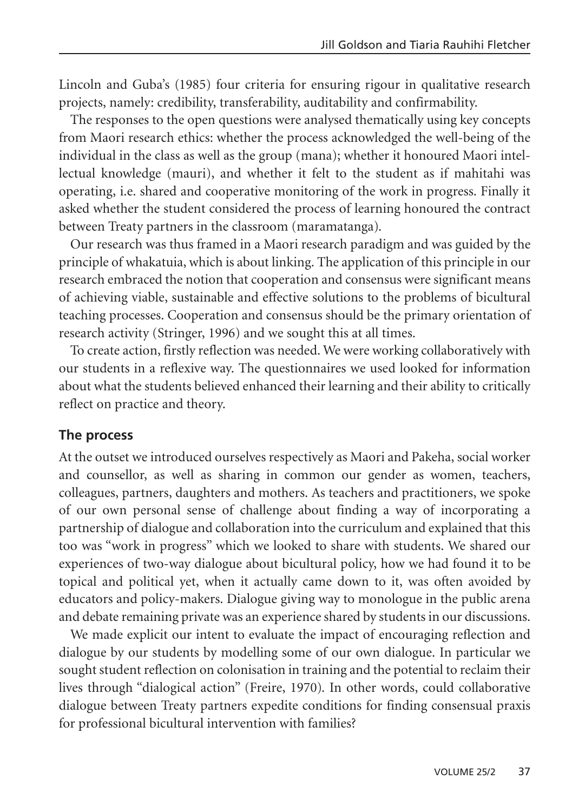Lincoln and Guba's (1985) four criteria for ensuring rigour in qualitative research projects, namely: credibility, transferability, auditability and confirmability.

The responses to the open questions were analysed thematically using key concepts from Maori research ethics: whether the process acknowledged the well-being of the individual in the class as well as the group (mana); whether it honoured Maori intellectual knowledge (mauri), and whether it felt to the student as if mahitahi was operating, i.e. shared and cooperative monitoring of the work in progress. Finally it asked whether the student considered the process of learning honoured the contract between Treaty partners in the classroom (maramatanga).

Our research was thus framed in a Maori research paradigm and was guided by the principle of whakatuia, which is about linking. The application of this principle in our research embraced the notion that cooperation and consensus were significant means of achieving viable, sustainable and effective solutions to the problems of bicultural teaching processes. Cooperation and consensus should be the primary orientation of research activity (Stringer, 1996) and we sought this at all times.

To create action, firstly reflection was needed. We were working collaboratively with our students in a reflexive way. The questionnaires we used looked for information about what the students believed enhanced their learning and their ability to critically reflect on practice and theory.

### **The process**

At the outset we introduced ourselves respectively as Maori and Pakeha, social worker and counsellor, as well as sharing in common our gender as women, teachers, colleagues, partners, daughters and mothers. As teachers and practitioners, we spoke of our own personal sense of challenge about finding a way of incorporating a partnership of dialogue and collaboration into the curriculum and explained that this too was "work in progress" which we looked to share with students. We shared our experiences of two-way dialogue about bicultural policy, how we had found it to be topical and political yet, when it actually came down to it, was often avoided by educators and policy-makers. Dialogue giving way to monologue in the public arena and debate remaining private was an experience shared by students in our discussions.

We made explicit our intent to evaluate the impact of encouraging reflection and dialogue by our students by modelling some of our own dialogue. In particular we sought student reflection on colonisation in training and the potential to reclaim their lives through "dialogical action" (Freire, 1970). In other words, could collaborative dialogue between Treaty partners expedite conditions for finding consensual praxis for professional bicultural intervention with families?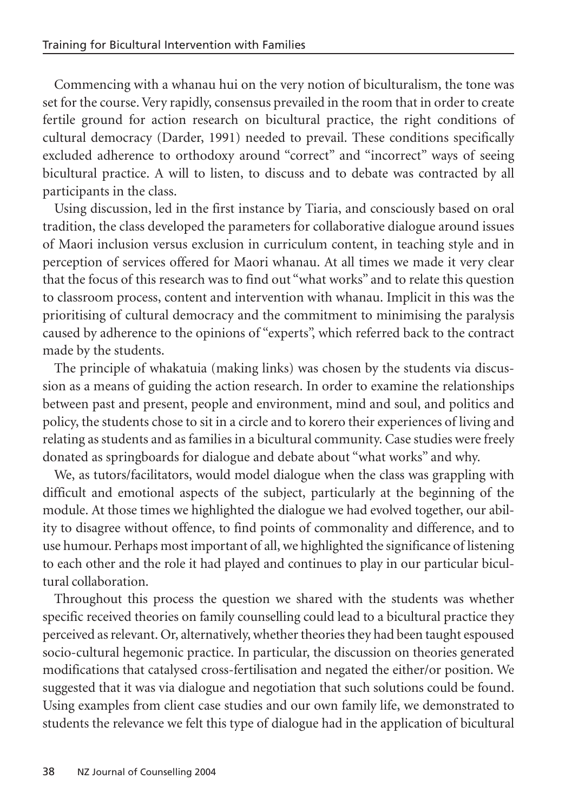Commencing with a whanau hui on the very notion of biculturalism, the tone was set for the course. Very rapidly, consensus prevailed in the room that in order to create fertile ground for action research on bicultural practice, the right conditions of cultural democracy (Darder, 1991) needed to prevail. These conditions specifically excluded adherence to orthodoxy around "correct" and "incorrect" ways of seeing bicultural practice. A will to listen, to discuss and to debate was contracted by all participants in the class.

Using discussion, led in the first instance by Tiaria, and consciously based on oral tradition, the class developed the parameters for collaborative dialogue around issues of Maori inclusion versus exclusion in curriculum content, in teaching style and in perception of services offered for Maori whanau. At all times we made it very clear that the focus of this research was to find out "what works" and to relate this question to classroom process, content and intervention with whanau. Implicit in this was the prioritising of cultural democracy and the commitment to minimising the paralysis caused by adherence to the opinions of "experts", which referred back to the contract made by the students.

The principle of whakatuia (making links) was chosen by the students via discussion as a means of guiding the action research. In order to examine the relationships between past and present, people and environment, mind and soul, and politics and policy, the students chose to sit in a circle and to korero their experiences of living and relating as students and as families in a bicultural community. Case studies were freely donated as springboards for dialogue and debate about "what works" and why.

We, as tutors/facilitators, would model dialogue when the class was grappling with difficult and emotional aspects of the subject, particularly at the beginning of the module. At those times we highlighted the dialogue we had evolved together, our ability to disagree without offence, to find points of commonality and difference, and to use humour. Perhaps most important of all, we highlighted the significance of listening to each other and the role it had played and continues to play in our particular bicultural collaboration.

Throughout this process the question we shared with the students was whether specific received theories on family counselling could lead to a bicultural practice they perceived as relevant. Or, alternatively, whether theories they had been taught espoused socio-cultural hegemonic practice. In particular, the discussion on theories generated modifications that catalysed cross-fertilisation and negated the either/or position. We suggested that it was via dialogue and negotiation that such solutions could be found. Using examples from client case studies and our own family life, we demonstrated to students the relevance we felt this type of dialogue had in the application of bicultural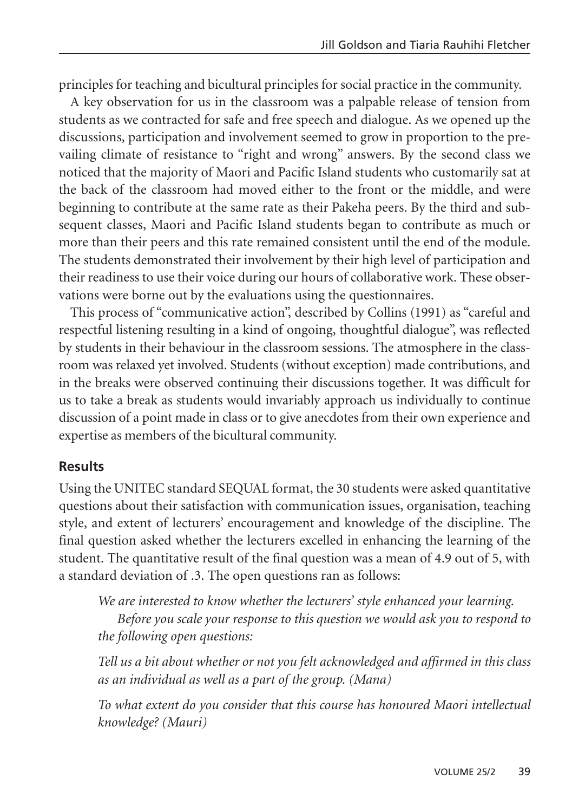principles for teaching and bicultural principles for social practice in the community.

A key observation for us in the classroom was a palpable release of tension from students as we contracted for safe and free speech and dialogue. As we opened up the discussions, participation and involvement seemed to grow in proportion to the prevailing climate of resistance to "right and wrong" answers. By the second class we noticed that the majority of Maori and Pacific Island students who customarily sat at the back of the classroom had moved either to the front or the middle, and were beginning to contribute at the same rate as their Pakeha peers. By the third and subsequent classes, Maori and Pacific Island students began to contribute as much or more than their peers and this rate remained consistent until the end of the module. The students demonstrated their involvement by their high level of participation and their readiness to use their voice during our hours of collaborative work. These observations were borne out by the evaluations using the questionnaires.

This process of "communicative action", described by Collins (1991) as "careful and respectful listening resulting in a kind of ongoing, thoughtful dialogue", was reflected by students in their behaviour in the classroom sessions. The atmosphere in the classroom was relaxed yet involved. Students (without exception) made contributions, and in the breaks were observed continuing their discussions together. It was difficult for us to take a break as students would invariably approach us individually to continue discussion of a point made in class or to give anecdotes from their own experience and expertise as members of the bicultural community.

### **Results**

Using the UNITEC standard SEQUAL format, the 30 students were asked quantitative questions about their satisfaction with communication issues, organisation, teaching style, and extent of lecturers' encouragement and knowledge of the discipline. The final question asked whether the lecturers excelled in enhancing the learning of the student. The quantitative result of the final question was a mean of 4.9 out of 5, with a standard deviation of .3. The open questions ran as follows:

*We are interested to know whether the lecturers' style enhanced your learning. Before you scale your response to this question we would ask you to respond to the following open questions:*

*Tell us a bit about whether or not you felt acknowledged and affirmed in this class as an individual as well as a part of the group. (Mana)*

*To what extent do you consider that this course has honoured Maori intellectual knowledge? (Mauri)*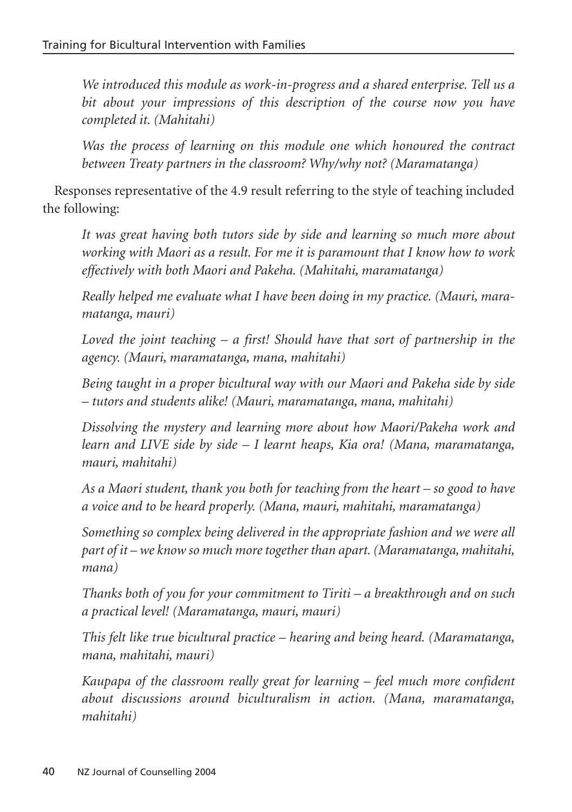*We introduced this module as work-in-progress and a shared enterprise. Tell us a bit about your impressions of this description of the course now you have completed it. (Mahitahi)*

*Was the process of learning on this module one which honoured the contract between Treaty partners in the classroom? Why/why not? (Maramatanga)*

Responses representative of the 4.9 result referring to the style of teaching included the following:

*It was great having both tutors side by side and learning so much more about working with Maori as a result. For me it is paramount that I know how to work effectively with both Maori and Pakeha. (Mahitahi, maramatanga)*

*Really helped me evaluate what I have been doing in my practice. (Mauri, maramatanga, mauri)*

*Loved the joint teaching – a first! Should have that sort of partnership in the agency. (Mauri, maramatanga, mana, mahitahi)* 

*Being taught in a proper bicultural way with our Maori and Pakeha side by side – tutors and students alike! (Mauri, maramatanga, mana, mahitahi)*

*Dissolving the mystery and learning more about how Maori/Pakeha work and learn and LIVE side by side – I learnt heaps, Kia ora! (Mana, maramatanga, mauri, mahitahi)*

*As a Maori student, thank you both for teaching from the heart – so good to have a voice and to be heard properly. (Mana, mauri, mahitahi, maramatanga)*

*Something so complex being delivered in the appropriate fashion and we were all part of it – we know so much more together than apart. (Maramatanga, mahitahi, mana)*

*Thanks both of you for your commitment to Tiriti – a breakthrough and on such a practical level! (Maramatanga, mauri, mauri)*

*This felt like true bicultural practice – hearing and being heard. (Maramatanga, mana, mahitahi, mauri)*

*Kaupapa of the classroom really great for learning – feel much more confident about discussions around biculturalism in action. (Mana, maramatanga, mahitahi)*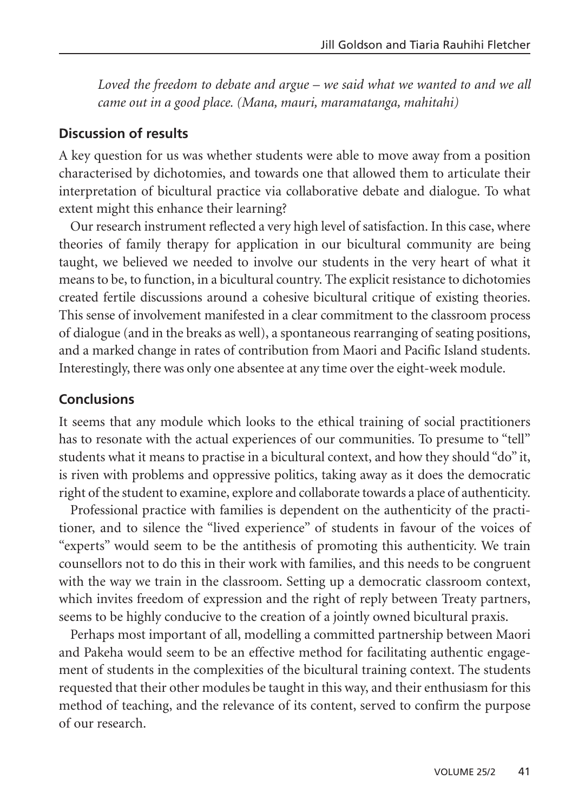*Loved the freedom to debate and argue – we said what we wanted to and we all came out in a good place. (Mana, mauri, maramatanga, mahitahi)*

### **Discussion of results**

A key question for us was whether students were able to move away from a position characterised by dichotomies, and towards one that allowed them to articulate their interpretation of bicultural practice via collaborative debate and dialogue. To what extent might this enhance their learning?

Our research instrument reflected a very high level of satisfaction. In this case, where theories of family therapy for application in our bicultural community are being taught, we believed we needed to involve our students in the very heart of what it means to be, to function, in a bicultural country. The explicit resistance to dichotomies created fertile discussions around a cohesive bicultural critique of existing theories. This sense of involvement manifested in a clear commitment to the classroom process of dialogue (and in the breaks as well), a spontaneous rearranging of seating positions, and a marked change in rates of contribution from Maori and Pacific Island students. Interestingly, there was only one absentee at any time over the eight-week module.

# **Conclusions**

It seems that any module which looks to the ethical training of social practitioners has to resonate with the actual experiences of our communities. To presume to "tell" students what it means to practise in a bicultural context, and how they should "do" it, is riven with problems and oppressive politics, taking away as it does the democratic right of the student to examine, explore and collaborate towards a place of authenticity.

Professional practice with families is dependent on the authenticity of the practitioner, and to silence the "lived experience" of students in favour of the voices of "experts" would seem to be the antithesis of promoting this authenticity. We train counsellors not to do this in their work with families, and this needs to be congruent with the way we train in the classroom. Setting up a democratic classroom context, which invites freedom of expression and the right of reply between Treaty partners, seems to be highly conducive to the creation of a jointly owned bicultural praxis.

Perhaps most important of all, modelling a committed partnership between Maori and Pakeha would seem to be an effective method for facilitating authentic engagement of students in the complexities of the bicultural training context. The students requested that their other modules be taught in this way, and their enthusiasm for this method of teaching, and the relevance of its content, served to confirm the purpose of our research.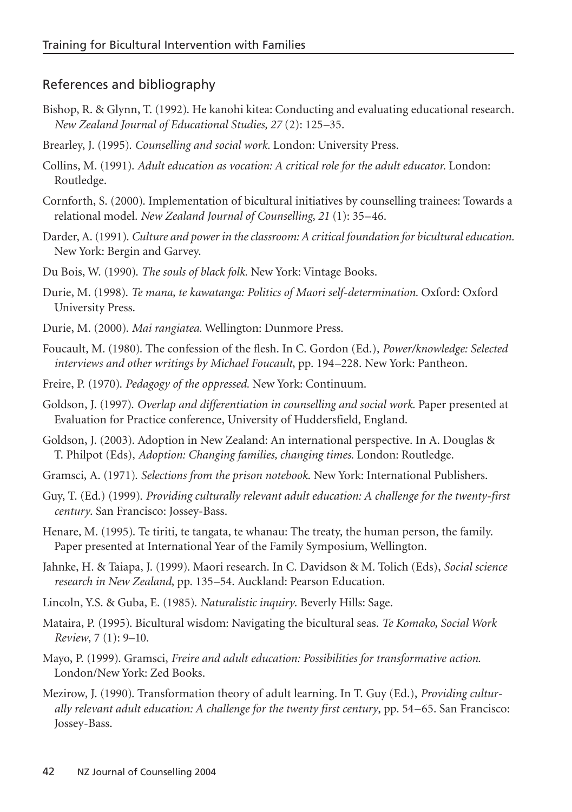### References and bibliography

- Bishop, R. & Glynn, T. (1992). He kanohi kitea: Conducting and evaluating educational research. *New Zealand Journal of Educational Studies, 27* (2): 125–35.
- Brearley, J. (1995). *Counselling and social work.* London: University Press.
- Collins, M. (1991). *Adult education as vocation: A critical role for the adult educator.* London: Routledge.
- Cornforth, S. (2000). Implementation of bicultural initiatives by counselling trainees: Towards a relational model. *New Zealand Journal of Counselling, 21* (1): 35–46.
- Darder, A. (1991). *Culture and power in the classroom: A critical foundation for bicultural education.* New York: Bergin and Garvey.
- Du Bois, W. (1990). *The souls of black folk.* New York: Vintage Books.
- Durie, M. (1998). *Te mana, te kawatanga: Politics of Maori self-determination.* Oxford: Oxford University Press.
- Durie, M. (2000). *Mai rangiatea.* Wellington: Dunmore Press.
- Foucault, M. (1980). The confession of the flesh. In C. Gordon (Ed.), *Power/knowledge: Selected interviews and other writings by Michael Foucault*, pp. 194–228. New York: Pantheon.
- Freire, P. (1970). *Pedagogy of the oppressed.* New York: Continuum.
- Goldson, J. (1997). *Overlap and differentiation in counselling and social work.* Paper presented at Evaluation for Practice conference, University of Huddersfield, England.
- Goldson, J. (2003). Adoption in New Zealand: An international perspective. In A. Douglas & T. Philpot (Eds), *Adoption: Changing families, changing times.* London: Routledge.
- Gramsci, A. (1971). *Selections from the prison notebook*. New York: International Publishers.
- Guy, T. (Ed.) (1999). *Providing culturally relevant adult education: A challenge for the twenty-first century*. San Francisco: Jossey-Bass.
- Henare, M. (1995). Te tiriti, te tangata, te whanau: The treaty, the human person, the family. Paper presented at International Year of the Family Symposium, Wellington.
- Jahnke, H. & Taiapa, J. (1999). Maori research. In C. Davidson & M. Tolich (Eds), *Social science research in New Zealand*, pp. 135–54. Auckland: Pearson Education.
- Lincoln, Y.S. & Guba, E. (1985). *Naturalistic inquiry*. Beverly Hills: Sage.
- Mataira, P. (1995). Bicultural wisdom: Navigating the bicultural seas. *Te Komako, Social Work Review*, 7 (1): 9–10.
- Mayo, P. (1999). Gramsci, *Freire and adult education: Possibilities for transformative action*. London/New York: Zed Books.
- Mezirow, J. (1990). Transformation theory of adult learning. In T. Guy (Ed.), *Providing culturally relevant adult education: A challenge for the twenty first century*, pp. 54–65. San Francisco: Jossey-Bass.